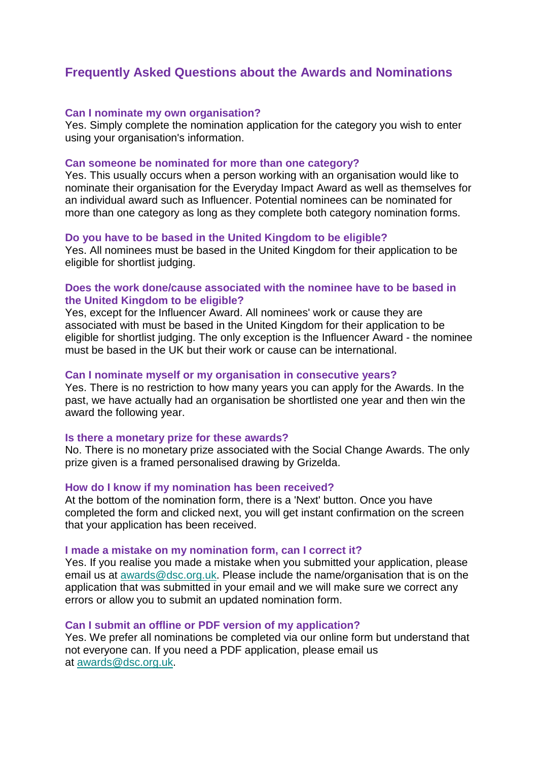# **Frequently Asked Questions about the Awards and Nominations**

## **Can I nominate my own organisation?**

Yes. Simply complete the nomination application for the category you wish to enter using your organisation's information.

## **Can someone be nominated for more than one category?**

Yes. This usually occurs when a person working with an organisation would like to nominate their organisation for the Everyday Impact Award as well as themselves for an individual award such as Influencer. Potential nominees can be nominated for more than one category as long as they complete both category nomination forms.

## **Do you have to be based in the United Kingdom to be eligible?**

Yes. All nominees must be based in the United Kingdom for their application to be eligible for shortlist judging.

# **Does the work done/cause associated with the nominee have to be based in the United Kingdom to be eligible?**

Yes, except for the Influencer Award. All nominees' work or cause they are associated with must be based in the United Kingdom for their application to be eligible for shortlist judging. The only exception is the Influencer Award - the nominee must be based in the UK but their work or cause can be international.

#### **Can I nominate myself or my organisation in consecutive years?**

Yes. There is no restriction to how many years you can apply for the Awards. In the past, we have actually had an organisation be shortlisted one year and then win the award the following year.

#### **Is there a monetary prize for these awards?**

No. There is no monetary prize associated with the Social Change Awards. The only prize given is a framed personalised drawing by Grizelda.

#### **How do I know if my nomination has been received?**

At the bottom of the nomination form, there is a 'Next' button. Once you have completed the form and clicked next, you will get instant confirmation on the screen that your application has been received.

#### **I made a mistake on my nomination form, can I correct it?**

Yes. If you realise you made a mistake when you submitted your application, please email us at [awards@dsc.org.uk.](mailto:awards@dsc.org.uk) Please include the name/organisation that is on the application that was submitted in your email and we will make sure we correct any errors or allow you to submit an updated nomination form.

#### **Can I submit an offline or PDF version of my application?**

Yes. We prefer all nominations be completed via our online form but understand that not everyone can. If you need a PDF application, please email us at [awards@dsc.org.uk.](mailto:awards@dsc.org.uk)